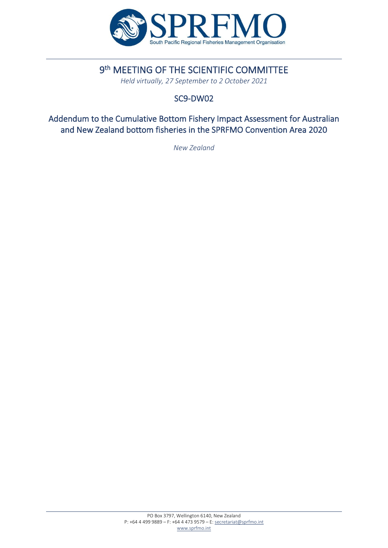

# 9<sup>th</sup> MEETING OF THE SCIENTIFIC COMMITTEE

*Held virtually, 27 September to 2 October 2021*

## SC9-DW02

 Addendum to the Cumulative Bottom Fishery Impact Assessment for Australian and New Zealand bottom fisheries in the SPRFMO Convention Area 2020

*New Zealand*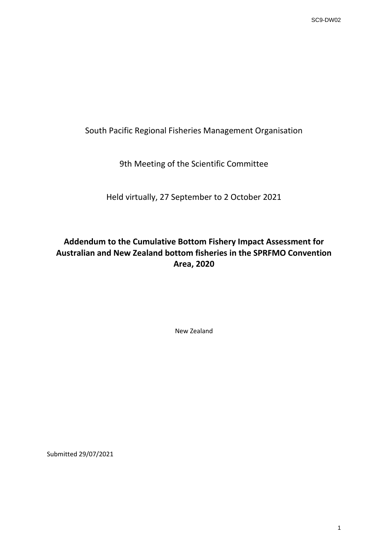South Pacific Regional Fisheries Management Organisation

9th Meeting of the Scientific Committee

Held virtually, 27 September to 2 October 2021

**Addendum to the Cumulative Bottom Fishery Impact Assessment for Australian and New Zealand bottom fisheries in the SPRFMO Convention Area, 2020** SC9-DW02

New Zealand

Submitted 29/07/2021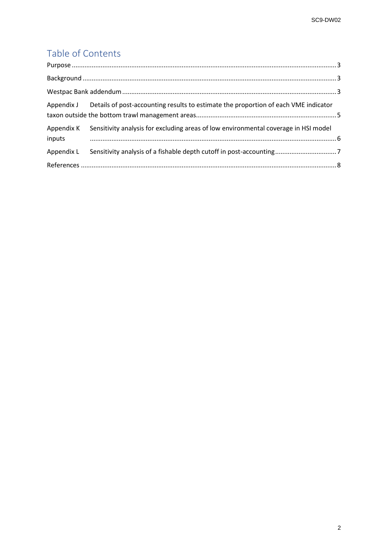# Table of Contents

|                      | SC9-DW02                                                                            |   |
|----------------------|-------------------------------------------------------------------------------------|---|
|                      |                                                                                     |   |
|                      |                                                                                     |   |
| Table of Contents    |                                                                                     |   |
|                      |                                                                                     |   |
|                      |                                                                                     |   |
|                      |                                                                                     |   |
| Appendix J           | Details of post-accounting results to estimate the proportion of each VME indicator |   |
| Appendix K<br>inputs | Sensitivity analysis for excluding areas of low environmental coverage in HSI model |   |
| Appendix L           |                                                                                     |   |
|                      |                                                                                     |   |
|                      |                                                                                     |   |
|                      |                                                                                     | 2 |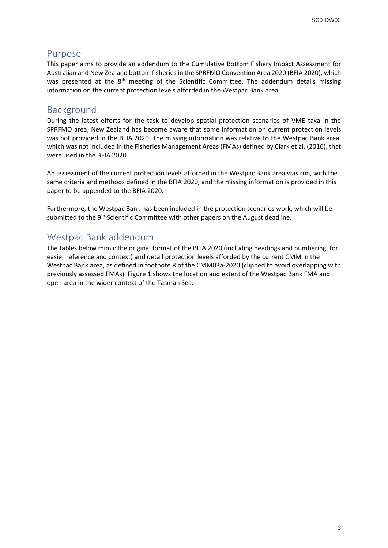#### <span id="page-3-0"></span>Purpose

This paper aims to provide an addendum to the Cumulative Bottom Fishery Impact Assessment for Australian and New Zealand bottom fisheries in the SPRFMO Convention Area 2020 (BFIA 2020), which was presented at the 8<sup>th</sup> meeting of the Scientific Committee. The addendum details missing information on the current protection levels afforded in the Westpac Bank area.

### <span id="page-3-1"></span>Background

During the latest efforts for the task to develop spatial protection scenarios of VME taxa in the SPRFMO area, New Zealand has become aware that some information on current protection levels was not provided in the BFIA 2020. The missing information was relative to the Westpac Bank area, which was not included in the Fisheries Management Areas (FMAs) defined by Clark et al. (2016), that were used in the BFIA 2020.

An assessment of the current protection levels afforded in the Westpac Bank area was run, with the same criteria and methods defined in the BFIA 2020, and the missing information is provided in this paper to be appended to the BFIA 2020.

Furthermore, the Westpac Bank has been included in the protection scenarios work, which will be submitted to the 9<sup>th</sup> Scientific Committee with other papers on the August deadline.

#### <span id="page-3-2"></span>Westpac Bank addendum

The tables below mimic the original format of the BFIA 2020 (including headings and numbering, for easier reference and context) and detail protection levels afforded by the current CMM in the Westpac Bank area, as defined in footnote 8 of the CMM03a-2020 (clipped to avoid overlapping with previously assessed FMAs). Figure 1 shows the location and extent of the Westpac Bank FMA and open area in the wider context of the Tasman Sea. SC9-DW02<br>Sment for<br>20), which<br>Is missing<br>axa in the<br>ion levels<br>2016), that<br>will be<br>ering, for<br>ering, for<br>the<br>1A and<br>1A and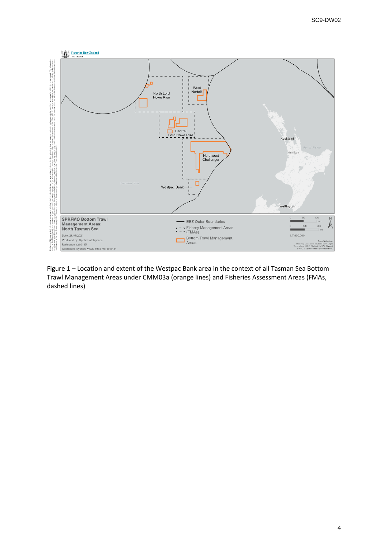

Figure 1 – Location and extent of the Westpac Bank area in the context of all Tasman Sea Bottom Trawl Management Areas under CMM03a (orange lines) and Fisheries Assessment Areas (FMAs, dashed lines)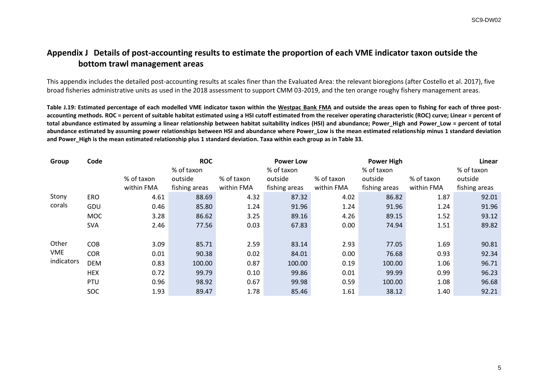SC9-DW02

#### <span id="page-5-0"></span>**Appendix J Details of post-accounting results to estimate the proportion of each VME indicator taxon outside the bottom trawl management areas**

|                 |                   | This appendix includes the detailed post-accounting results at scales finer than the Evaluated Area: the relevant bioregions (after Costello et al. 2017), five                                                                                                                                                                                                                                                                                                                                                                                                                                                                                                                                                                                                                                       |                |              |                |              |                |                   |                |            |
|-----------------|-------------------|-------------------------------------------------------------------------------------------------------------------------------------------------------------------------------------------------------------------------------------------------------------------------------------------------------------------------------------------------------------------------------------------------------------------------------------------------------------------------------------------------------------------------------------------------------------------------------------------------------------------------------------------------------------------------------------------------------------------------------------------------------------------------------------------------------|----------------|--------------|----------------|--------------|----------------|-------------------|----------------|------------|
|                 |                   | broad fisheries administrative units as used in the 2018 assessment to support CMM 03-2019, and the ten orange roughy fishery management areas.                                                                                                                                                                                                                                                                                                                                                                                                                                                                                                                                                                                                                                                       |                |              |                |              |                |                   |                |            |
|                 |                   | Table J.19: Estimated percentage of each modelled VME indicator taxon within the Westpac Bank FMA and outside the areas open to fishing for each of three post-<br>accounting methods. ROC = percent of suitable habitat estimated using a HSI cutoff estimated from the receiver operating characteristic (ROC) curve; Linear = percent of<br>total abundance estimated by assuming a linear relationship between habitat suitability indices (HSI) and abundance; Power_High and Power_Low = percent of total<br>abundance estimated by assuming power relationships between HSI and abundance where Power_Low is the mean estimated relationship minus 1 standard deviation<br>and Power_High is the mean estimated relationship plus 1 standard deviation. Taxa within each group as in Table 33. |                |              |                |              |                |                   |                |            |
| Group           | Code              | <b>ROC</b><br><b>Power Low</b>                                                                                                                                                                                                                                                                                                                                                                                                                                                                                                                                                                                                                                                                                                                                                                        |                |              |                |              |                | <b>Power High</b> | Linear         |            |
|                 |                   |                                                                                                                                                                                                                                                                                                                                                                                                                                                                                                                                                                                                                                                                                                                                                                                                       |                | % of taxon   |                | % of taxon   |                | % of taxon        |                | % of taxon |
|                 |                   | % of taxon                                                                                                                                                                                                                                                                                                                                                                                                                                                                                                                                                                                                                                                                                                                                                                                            | outside        | % of taxon   | outside        | % of taxon   | outside        | % of taxon        | outside        |            |
|                 |                   | within FMA                                                                                                                                                                                                                                                                                                                                                                                                                                                                                                                                                                                                                                                                                                                                                                                            | fishing areas  | within FMA   | fishing areas  | within FMA   | fishing areas  | within FMA        | fishing areas  |            |
| Stony<br>corals | <b>ERO</b>        | 4.61                                                                                                                                                                                                                                                                                                                                                                                                                                                                                                                                                                                                                                                                                                                                                                                                  | 88.69          | 4.32         | 87.32          | 4.02         | 86.82          | 1.87              | 92.01          |            |
|                 | GDU<br><b>MOC</b> | 0.46<br>3.28                                                                                                                                                                                                                                                                                                                                                                                                                                                                                                                                                                                                                                                                                                                                                                                          | 85.80<br>86.62 | 1.24<br>3.25 | 91.96<br>89.16 | 1.24<br>4.26 | 91.96<br>89.15 | 1.24<br>1.52      | 91.96<br>93.12 |            |
|                 | <b>SVA</b>        | 2.46                                                                                                                                                                                                                                                                                                                                                                                                                                                                                                                                                                                                                                                                                                                                                                                                  | 77.56          | 0.03         | 67.83          | 0.00         | 74.94          | 1.51              | 89.82          |            |
|                 |                   |                                                                                                                                                                                                                                                                                                                                                                                                                                                                                                                                                                                                                                                                                                                                                                                                       |                |              |                |              |                |                   |                |            |
| Other           | <b>COB</b>        | 3.09                                                                                                                                                                                                                                                                                                                                                                                                                                                                                                                                                                                                                                                                                                                                                                                                  | 85.71          | 2.59         | 83.14          | 2.93         | 77.05          | 1.69              | 90.81          |            |
| <b>VME</b>      | <b>COR</b>        | 0.01                                                                                                                                                                                                                                                                                                                                                                                                                                                                                                                                                                                                                                                                                                                                                                                                  | 90.38          | 0.02         | 84.01          | 0.00         | 76.68          | 0.93              | 92.34          |            |
| indicators      | <b>DEM</b>        | 0.83                                                                                                                                                                                                                                                                                                                                                                                                                                                                                                                                                                                                                                                                                                                                                                                                  | 100.00         | 0.87         | 100.00         | 0.19         | 100.00         | 1.06              | 96.71          |            |
|                 |                   | 0.72                                                                                                                                                                                                                                                                                                                                                                                                                                                                                                                                                                                                                                                                                                                                                                                                  | 99.79          | 0.10         | 99.86          | 0.01         | 99.99          | 0.99              | 96.23          |            |
|                 | <b>HEX</b>        |                                                                                                                                                                                                                                                                                                                                                                                                                                                                                                                                                                                                                                                                                                                                                                                                       |                |              |                |              |                |                   |                |            |
|                 | PTU               | 0.96                                                                                                                                                                                                                                                                                                                                                                                                                                                                                                                                                                                                                                                                                                                                                                                                  | 98.92          | 0.67         | 99.98          | 0.59         | 100.00         | 1.08              | 96.68          |            |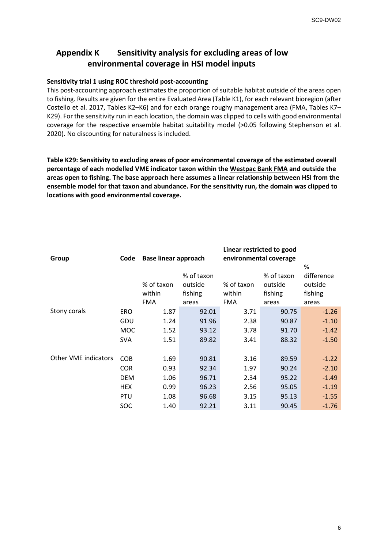#### <span id="page-6-0"></span>**Appendix K Sensitivity analysis for excluding areas of low environmental coverage in HSI model inputs**

#### **Sensitivity trial 1 using ROC threshold post-accounting**

|                                                                                                                                                                                                                                                                                                                                                                                                                                                                                                                                                                                                                                                                                                                                                                                                                                                                                                                                                                                                                                                                                                                 |                                                      |                                              |                                                                                               |                                                     |                                                    | SC9-DW02                                                       |
|-----------------------------------------------------------------------------------------------------------------------------------------------------------------------------------------------------------------------------------------------------------------------------------------------------------------------------------------------------------------------------------------------------------------------------------------------------------------------------------------------------------------------------------------------------------------------------------------------------------------------------------------------------------------------------------------------------------------------------------------------------------------------------------------------------------------------------------------------------------------------------------------------------------------------------------------------------------------------------------------------------------------------------------------------------------------------------------------------------------------|------------------------------------------------------|----------------------------------------------|-----------------------------------------------------------------------------------------------|-----------------------------------------------------|----------------------------------------------------|----------------------------------------------------------------|
| <b>Appendix K</b>                                                                                                                                                                                                                                                                                                                                                                                                                                                                                                                                                                                                                                                                                                                                                                                                                                                                                                                                                                                                                                                                                               |                                                      |                                              | Sensitivity analysis for excluding areas of low<br>environmental coverage in HSI model inputs |                                                     |                                                    |                                                                |
| Sensitivity trial 1 using ROC threshold post-accounting<br>This post-accounting approach estimates the proportion of suitable habitat outside of the areas open<br>o fishing. Results are given for the entire Evaluated Area (Table K1), for each relevant bioregion (after:<br>Costello et al. 2017, Tables K2–K6) and for each orange roughy management area (FMA, Tables K7–<br>(29). For the sensitivity run in each location, the domain was clipped to cells with good environmental<br>coverage for the respective ensemble habitat suitability model (>0.05 following Stephenson et al.<br>2020). No discounting for naturalness is included.<br>Table K29: Sensitivity to excluding areas of poor environmental coverage of the estimated overall<br>bercentage of each modelled VME indicator taxon within the Westpac Bank FMA and outside the<br>areas open to fishing. The base approach here assumes a linear relationship between HSI from the<br>ensemble model for that taxon and abundance. For the sensitivity run, the domain was clipped to<br>ocations with good environmental coverage. |                                                      |                                              |                                                                                               |                                                     |                                                    |                                                                |
| Group                                                                                                                                                                                                                                                                                                                                                                                                                                                                                                                                                                                                                                                                                                                                                                                                                                                                                                                                                                                                                                                                                                           |                                                      | Code Base linear approach                    |                                                                                               | Linear restricted to good<br>environmental coverage |                                                    |                                                                |
|                                                                                                                                                                                                                                                                                                                                                                                                                                                                                                                                                                                                                                                                                                                                                                                                                                                                                                                                                                                                                                                                                                                 |                                                      | % of taxon<br>within                         | % of taxon<br>outside<br>fishing                                                              | % of taxon<br>within                                | % of taxon<br>outside<br>fishing                   | %<br>difference<br>outside<br>fishing                          |
| Stony corals                                                                                                                                                                                                                                                                                                                                                                                                                                                                                                                                                                                                                                                                                                                                                                                                                                                                                                                                                                                                                                                                                                    | ERO<br>GDU<br><b>MOC</b><br><b>SVA</b>               | <b>FMA</b><br>1.87<br>1.24<br>1.52<br>1.51   | areas<br>92.01<br>91.96<br>93.12<br>89.82                                                     | <b>FMA</b><br>3.71<br>2.38<br>3.78<br>3.41          | areas<br>90.75<br>90.87<br>91.70<br>88.32          | areas<br>$-1.26$<br>$-1.10$<br>$-1.42$<br>$-1.50$              |
| Other VME indicators                                                                                                                                                                                                                                                                                                                                                                                                                                                                                                                                                                                                                                                                                                                                                                                                                                                                                                                                                                                                                                                                                            | COB<br>COR<br><b>DEM</b><br><b>HEX</b><br>PTU<br>SOC | 1.69<br>0.93<br>1.06<br>0.99<br>1.08<br>1.40 | 90.81<br>92.34<br>96.71<br>96.23<br>96.68<br>92.21                                            | 3.16<br>1.97<br>2.34<br>2.56<br>3.15<br>3.11        | 89.59<br>90.24<br>95.22<br>95.05<br>95.13<br>90.45 | $-1.22$<br>$-2.10$<br>$-1.49$<br>$-1.19$<br>$-1.55$<br>$-1.76$ |
|                                                                                                                                                                                                                                                                                                                                                                                                                                                                                                                                                                                                                                                                                                                                                                                                                                                                                                                                                                                                                                                                                                                 |                                                      |                                              |                                                                                               |                                                     |                                                    |                                                                |
|                                                                                                                                                                                                                                                                                                                                                                                                                                                                                                                                                                                                                                                                                                                                                                                                                                                                                                                                                                                                                                                                                                                 |                                                      |                                              |                                                                                               |                                                     |                                                    |                                                                |
|                                                                                                                                                                                                                                                                                                                                                                                                                                                                                                                                                                                                                                                                                                                                                                                                                                                                                                                                                                                                                                                                                                                 |                                                      |                                              |                                                                                               |                                                     |                                                    | 6                                                              |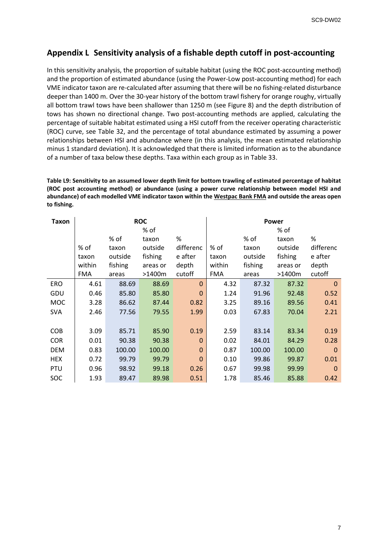#### <span id="page-7-0"></span>**Appendix L Sensitivity analysis of a fishable depth cutoff in post-accounting**

| SC9-DW02<br>Appendix L Sensitivity analysis of a fishable depth cutoff in post-accounting<br>In this sensitivity analysis, the proportion of suitable habitat (using the ROC post-accounting method)<br>and the proportion of estimated abundance (using the Power-Low post-accounting method) for each<br>VME indicator taxon are re-calculated after assuming that there will be no fishing-related disturbance<br>deeper than 1400 m. Over the 30-year history of the bottom trawl fishery for orange roughy, virtually<br>all bottom trawl tows have been shallower than 1250 m (see Figure 8) and the depth distribution of<br>tows has shown no directional change. Two post-accounting methods are applied, calculating the<br>percentage of suitable habitat estimated using a HSI cutoff from the receiver operating characteristic<br>(ROC) curve, see Table 32, and the percentage of total abundance estimated by assuming a power<br>relationships between HSI and abundance where (in this analysis, the mean estimated relationship<br>minus 1 standard deviation). It is acknowledged that there is limited information as to the abundance |                                       |                                              |                                                             |                                                 |                                       |                                              |                                                             |                                                 |  |  |
|-------------------------------------------------------------------------------------------------------------------------------------------------------------------------------------------------------------------------------------------------------------------------------------------------------------------------------------------------------------------------------------------------------------------------------------------------------------------------------------------------------------------------------------------------------------------------------------------------------------------------------------------------------------------------------------------------------------------------------------------------------------------------------------------------------------------------------------------------------------------------------------------------------------------------------------------------------------------------------------------------------------------------------------------------------------------------------------------------------------------------------------------------------------|---------------------------------------|----------------------------------------------|-------------------------------------------------------------|-------------------------------------------------|---------------------------------------|----------------------------------------------|-------------------------------------------------------------|-------------------------------------------------|--|--|
| of a number of taxa below these depths. Taxa within each group as in Table 33.<br>Table L9: Sensitivity to an assumed lower depth limit for bottom trawling of estimated percentage of habitat<br>(ROC post accounting method) or abundance (using a power curve relationship between model HSI and<br>abundance) of each modelled VME indicator taxon within the Westpac Bank FMA and outside the areas open<br>to fishing.                                                                                                                                                                                                                                                                                                                                                                                                                                                                                                                                                                                                                                                                                                                                |                                       |                                              |                                                             |                                                 |                                       |                                              |                                                             |                                                 |  |  |
| <b>Taxon</b>                                                                                                                                                                                                                                                                                                                                                                                                                                                                                                                                                                                                                                                                                                                                                                                                                                                                                                                                                                                                                                                                                                                                                |                                       |                                              | <b>ROC</b>                                                  |                                                 | Power                                 |                                              |                                                             |                                                 |  |  |
|                                                                                                                                                                                                                                                                                                                                                                                                                                                                                                                                                                                                                                                                                                                                                                                                                                                                                                                                                                                                                                                                                                                                                             | % of<br>taxon<br>within<br><b>FMA</b> | % of<br>taxon<br>outside<br>fishing<br>areas | % of<br>taxon<br>outside<br>fishing<br>areas or<br>$>1400m$ | $\%$<br>differenc<br>e after<br>depth<br>cutoff | % of<br>taxon<br>within<br><b>FMA</b> | % of<br>taxon<br>outside<br>fishing<br>areas | % of<br>taxon<br>outside<br>fishing<br>areas or<br>$>1400m$ | $\%$<br>differenc<br>e after<br>depth<br>cutoff |  |  |
| <b>ERO</b>                                                                                                                                                                                                                                                                                                                                                                                                                                                                                                                                                                                                                                                                                                                                                                                                                                                                                                                                                                                                                                                                                                                                                  | 4.61                                  | 88.69                                        | 88.69                                                       | $\mathbf{0}$                                    | 4.32                                  | 87.32                                        | 87.32                                                       | $\mathbf 0$                                     |  |  |
| GDU                                                                                                                                                                                                                                                                                                                                                                                                                                                                                                                                                                                                                                                                                                                                                                                                                                                                                                                                                                                                                                                                                                                                                         | 0.46                                  | 85.80                                        | 85.80                                                       | $\mathbf 0$                                     | 1.24                                  | 91.96                                        | 92.48                                                       | 0.52                                            |  |  |
| <b>MOC</b>                                                                                                                                                                                                                                                                                                                                                                                                                                                                                                                                                                                                                                                                                                                                                                                                                                                                                                                                                                                                                                                                                                                                                  | 3.28                                  | 86.62                                        | 87.44                                                       | 0.82                                            | 3.25                                  | 89.16                                        | 89.56                                                       | 0.41                                            |  |  |
| SVA                                                                                                                                                                                                                                                                                                                                                                                                                                                                                                                                                                                                                                                                                                                                                                                                                                                                                                                                                                                                                                                                                                                                                         | 2.46                                  | 77.56                                        | 79.55                                                       | 1.99                                            | 0.03                                  | 67.83                                        | 70.04                                                       | 2.21                                            |  |  |
| COB                                                                                                                                                                                                                                                                                                                                                                                                                                                                                                                                                                                                                                                                                                                                                                                                                                                                                                                                                                                                                                                                                                                                                         | 3.09                                  | 85.71                                        | 85.90                                                       | 0.19                                            | 2.59                                  | 83.14                                        | 83.34                                                       | 0.19                                            |  |  |
| <b>COR</b>                                                                                                                                                                                                                                                                                                                                                                                                                                                                                                                                                                                                                                                                                                                                                                                                                                                                                                                                                                                                                                                                                                                                                  | 0.01                                  | 90.38                                        | 90.38                                                       | $\boldsymbol{0}$                                | 0.02                                  | 84.01                                        | 84.29                                                       | 0.28                                            |  |  |
| DEM                                                                                                                                                                                                                                                                                                                                                                                                                                                                                                                                                                                                                                                                                                                                                                                                                                                                                                                                                                                                                                                                                                                                                         | 0.83                                  | 100.00                                       | 100.00                                                      | $\mathbf 0$                                     | 0.87                                  | 100.00                                       | 100.00                                                      | $\mathbf 0$                                     |  |  |
| <b>HEX</b>                                                                                                                                                                                                                                                                                                                                                                                                                                                                                                                                                                                                                                                                                                                                                                                                                                                                                                                                                                                                                                                                                                                                                  | 0.72                                  | 99.79                                        | 99.79                                                       | $\boldsymbol{0}$                                | 0.10                                  | 99.86                                        | 99.87                                                       | 0.01                                            |  |  |
| PTU<br>SOC                                                                                                                                                                                                                                                                                                                                                                                                                                                                                                                                                                                                                                                                                                                                                                                                                                                                                                                                                                                                                                                                                                                                                  | 0.96<br>1.93                          | 98.92<br>89.47                               | 99.18<br>89.98                                              | 0.26<br>0.51                                    | 0.67<br>1.78                          | 99.98<br>85.46                               | 99.99<br>85.88                                              | $\overline{\phantom{0}}$<br>0.42                |  |  |
|                                                                                                                                                                                                                                                                                                                                                                                                                                                                                                                                                                                                                                                                                                                                                                                                                                                                                                                                                                                                                                                                                                                                                             |                                       |                                              |                                                             |                                                 |                                       |                                              |                                                             |                                                 |  |  |
|                                                                                                                                                                                                                                                                                                                                                                                                                                                                                                                                                                                                                                                                                                                                                                                                                                                                                                                                                                                                                                                                                                                                                             |                                       |                                              |                                                             |                                                 |                                       |                                              |                                                             | $\overline{7}$                                  |  |  |